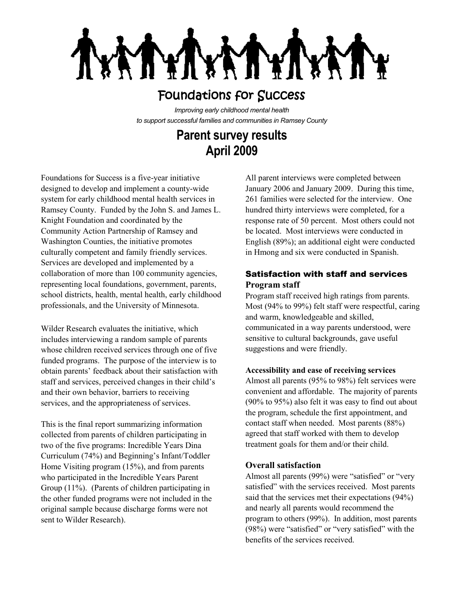**TYT ATYIY** 

# Foundations for Success

*Improving early childhood mental health to support successful families and communities in Ramsey County*

# **Parent survey results April 2009**

Foundations for Success is a five-year initiative designed to develop and implement a county-wide system for early childhood mental health services in Ramsey County. Funded by the John S. and James L. Knight Foundation and coordinated by the Community Action Partnership of Ramsey and Washington Counties, the initiative promotes culturally competent and family friendly services. Services are developed and implemented by a collaboration of more than 100 community agencies, representing local foundations, government, parents, school districts, health, mental health, early childhood professionals, and the University of Minnesota.

Wilder Research evaluates the initiative, which includes interviewing a random sample of parents whose children received services through one of five funded programs. The purpose of the interview is to obtain parents' feedback about their satisfaction with staff and services, perceived changes in their child's and their own behavior, barriers to receiving services, and the appropriateness of services.

This is the final report summarizing information collected from parents of children participating in two of the five programs: Incredible Years Dina Curriculum (74%) and Beginning's Infant/Toddler Home Visiting program (15%), and from parents who participated in the Incredible Years Parent Group (11%). (Parents of children participating in the other funded programs were not included in the original sample because discharge forms were not sent to Wilder Research).

All parent interviews were completed between January 2006 and January 2009. During this time, 261 families were selected for the interview. One hundred thirty interviews were completed, for a response rate of 50 percent. Most others could not be located. Most interviews were conducted in English (89%); an additional eight were conducted in Hmong and six were conducted in Spanish.

### Satisfaction with staff and services **Program staff**

Program staff received high ratings from parents. Most (94% to 99%) felt staff were respectful, caring and warm, knowledgeable and skilled, communicated in a way parents understood, were sensitive to cultural backgrounds, gave useful suggestions and were friendly.

#### **Accessibility and ease of receiving services**

Almost all parents (95% to 98%) felt services were convenient and affordable. The majority of parents (90% to 95%) also felt it was easy to find out about the program, schedule the first appointment, and contact staff when needed. Most parents (88%) agreed that staff worked with them to develop treatment goals for them and/or their child.

#### **Overall satisfaction**

Almost all parents (99%) were "satisfied" or "very satisfied" with the services received. Most parents said that the services met their expectations (94%) and nearly all parents would recommend the program to others (99%). In addition, most parents (98%) were "satisfied" or "very satisfied" with the benefits of the services received.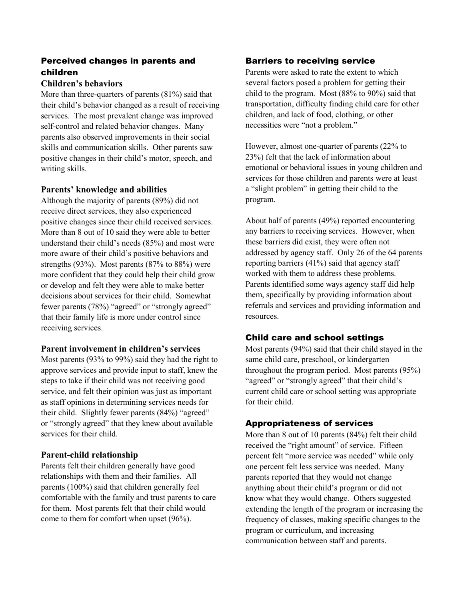# Perceived changes in parents and children

#### **Children's behaviors**

More than three-quarters of parents (81%) said that their child's behavior changed as a result of receiving services. The most prevalent change was improved self-control and related behavior changes. Many parents also observed improvements in their social skills and communication skills. Other parents saw positive changes in their child's motor, speech, and writing skills.

#### **Parents' knowledge and abilities**

Although the majority of parents (89%) did not receive direct services, they also experienced positive changes since their child received services. More than 8 out of 10 said they were able to better understand their child's needs (85%) and most were more aware of their child's positive behaviors and strengths (93%). Most parents (87% to 88%) were more confident that they could help their child grow or develop and felt they were able to make better decisions about services for their child. Somewhat fewer parents (78%) "agreed" or "strongly agreed" that their family life is more under control since receiving services.

#### **Parent involvement in children's services**

Most parents (93% to 99%) said they had the right to approve services and provide input to staff, knew the steps to take if their child was not receiving good service, and felt their opinion was just as important as staff opinions in determining services needs for their child. Slightly fewer parents (84%) "agreed" or "strongly agreed" that they knew about available services for their child.

### **Parent-child relationship**

Parents felt their children generally have good relationships with them and their families. All parents (100%) said that children generally feel comfortable with the family and trust parents to care for them. Most parents felt that their child would come to them for comfort when upset (96%).

### Barriers to receiving service

Parents were asked to rate the extent to which several factors posed a problem for getting their child to the program. Most (88% to 90%) said that transportation, difficulty finding child care for other children, and lack of food, clothing, or other necessities were "not a problem."

However, almost one-quarter of parents (22% to 23%) felt that the lack of information about emotional or behavioral issues in young children and services for those children and parents were at least a "slight problem" in getting their child to the program.

About half of parents (49%) reported encountering any barriers to receiving services. However, when these barriers did exist, they were often not addressed by agency staff. Only 26 of the 64 parents reporting barriers (41%) said that agency staff worked with them to address these problems. Parents identified some ways agency staff did help them, specifically by providing information about referrals and services and providing information and resources.

### Child care and school settings

Most parents (94%) said that their child stayed in the same child care, preschool, or kindergarten throughout the program period. Most parents (95%) "agreed" or "strongly agreed" that their child's current child care or school setting was appropriate for their child.

## Appropriateness of services

More than 8 out of 10 parents (84%) felt their child received the "right amount" of service. Fifteen percent felt "more service was needed" while only one percent felt less service was needed. Many parents reported that they would not change anything about their child's program or did not know what they would change. Others suggested extending the length of the program or increasing the frequency of classes, making specific changes to the program or curriculum, and increasing communication between staff and parents.